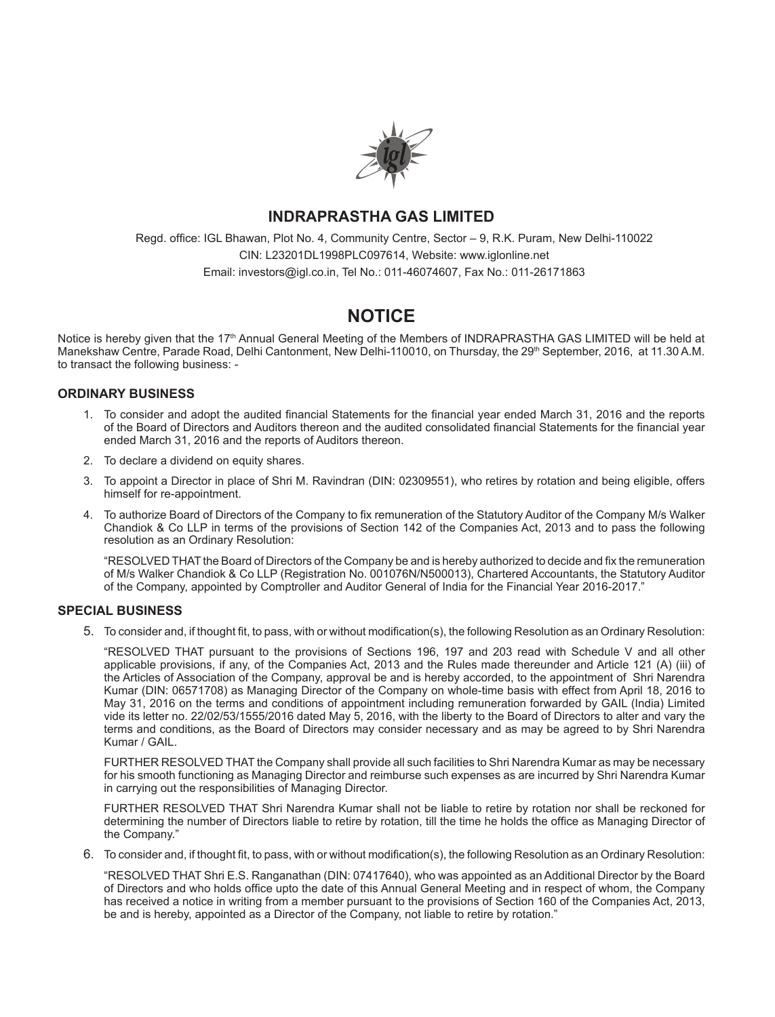

Regd. office: IGL Bhawan, Plot No. 4, Community Centre, Sector – 9, R.K. Puram, New Delhi-110022 CIN: L23201DL1998PLC097614, Website: www.iglonline.net Email: investors@igl.co.in, Tel No.: 011-46074607, Fax No.: 011-26171863

# **NOTICE**

Notice is hereby given that the 17<sup>th</sup> Annual General Meeting of the Members of INDRAPRASTHA GAS LIMITED will be held at Manekshaw Centre, Parade Road, Delhi Cantonment, New Delhi-110010, on Thursday, the 29th September, 2016, at 11.30 A.M. to transact the following business: -

## **ORDINARY BUSINESS**

- 1. To consider and adopt the audited financial Statements for the financial year ended March 31, 2016 and the reports of the Board of Directors and Auditors thereon and the audited consolidated financial Statements for the financial year ended March 31, 2016 and the reports of Auditors thereon.
- 2. To declare a dividend on equity shares.
- 3. To appoint a Director in place of Shri M. Ravindran (DIN: 02309551), who retires by rotation and being eligible, offers himself for re-appointment.
- 4. To authorize Board of Directors of the Company to fix remuneration of the Statutory Auditor of the Company M/s Walker Chandiok & Co LLP in terms of the provisions of Section 142 of the Companies Act, 2013 and to pass the following resolution as an Ordinary Resolution:

"RESOLVED THAT the Board of Directors of the Company be and is hereby authorized to decide and fix the remuneration of M/s Walker Chandiok & Co LLP (Registration No. 001076N/N500013), Chartered Accountants, the Statutory Auditor of the Company, appointed by Comptroller and Auditor General of India for the Financial Year 2016-2017."

## **SPECIAL BUSINESS**

5. To consider and, if thought fit, to pass, with or without modification(s), the following Resolution as an Ordinary Resolution:

"RESOLVED THAT pursuant to the provisions of Sections 196, 197 and 203 read with Schedule V and all other applicable provisions, if any, of the Companies Act, 2013 and the Rules made thereunder and Article 121 (A) (iii) of the Articles of Association of the Company, approval be and is hereby accorded, to the appointment of Shri Narendra Kumar (DIN: 06571708) as Managing Director of the Company on whole-time basis with effect from April 18, 2016 to May 31, 2016 on the terms and conditions of appointment including remuneration forwarded by GAIL (India) Limited vide its letter no. 22/02/53/1555/2016 dated May 5, 2016, with the liberty to the Board of Directors to alter and vary the terms and conditions, as the Board of Directors may consider necessary and as may be agreed to by Shri Narendra Kumar / GAIL.

FURTHER RESOLVED THAT the Company shall provide all such facilities to Shri Narendra Kumar as may be necessary for his smooth functioning as Managing Director and reimburse such expenses as are incurred by Shri Narendra Kumar in carrying out the responsibilities of Managing Director.

FURTHER RESOLVED THAT Shri Narendra Kumar shall not be liable to retire by rotation nor shall be reckoned for determining the number of Directors liable to retire by rotation, till the time he holds the office as Managing Director of the Company."

6. To consider and, if thought fit, to pass, with or without modification(s), the following Resolution as an Ordinary Resolution:

"RESOLVED THAT Shri E.S. Ranganathan (DIN: 07417640), who was appointed as an Additional Director by the Board of Directors and who holds office upto the date of this Annual General Meeting and in respect of whom, the Company has received a notice in writing from a member pursuant to the provisions of Section 160 of the Companies Act, 2013, be and is hereby, appointed as a Director of the Company, not liable to retire by rotation."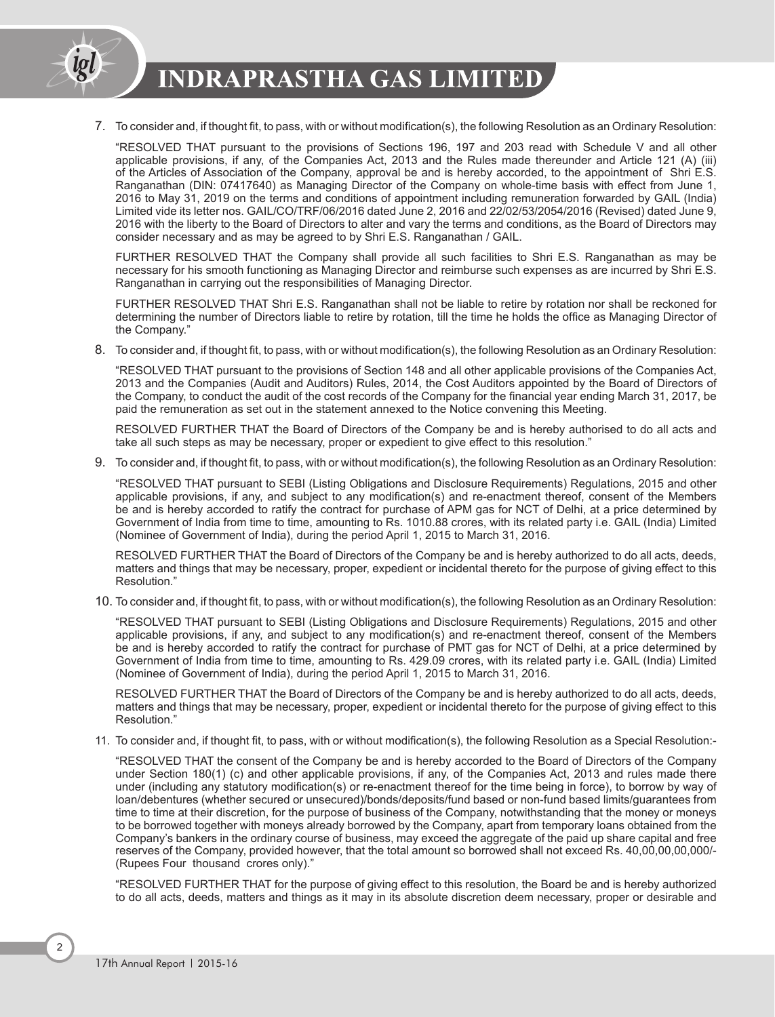

7. To consider and, if thought fit, to pass, with or without modification(s), the following Resolution as an Ordinary Resolution:

"RESOLVED THAT pursuant to the provisions of Sections 196, 197 and 203 read with Schedule V and all other applicable provisions, if any, of the Companies Act, 2013 and the Rules made thereunder and Article 121 (A) (iii) of the Articles of Association of the Company, approval be and is hereby accorded, to the appointment of Shri E.S. Ranganathan (DIN: 07417640) as Managing Director of the Company on whole-time basis with effect from June 1, 2016 to May 31, 2019 on the terms and conditions of appointment including remuneration forwarded by GAIL (India) Limited vide its letter nos. GAIL/CO/TRF/06/2016 dated June 2, 2016 and 22/02/53/2054/2016 (Revised) dated June 9, 2016 with the liberty to the Board of Directors to alter and vary the terms and conditions, as the Board of Directors may consider necessary and as may be agreed to by Shri E.S. Ranganathan / GAIL.

FURTHER RESOLVED THAT the Company shall provide all such facilities to Shri E.S. Ranganathan as may be necessary for his smooth functioning as Managing Director and reimburse such expenses as are incurred by Shri E.S. Ranganathan in carrying out the responsibilities of Managing Director.

FURTHER RESOLVED THAT Shri E.S. Ranganathan shall not be liable to retire by rotation nor shall be reckoned for determining the number of Directors liable to retire by rotation, till the time he holds the office as Managing Director of the Company."

8. To consider and, if thought fit, to pass, with or without modification(s), the following Resolution as an Ordinary Resolution:

"RESOLVED THAT pursuant to the provisions of Section 148 and all other applicable provisions of the Companies Act, 2013 and the Companies (Audit and Auditors) Rules, 2014, the Cost Auditors appointed by the Board of Directors of the Company, to conduct the audit of the cost records of the Company for the financial year ending March 31, 2017, be paid the remuneration as set out in the statement annexed to the Notice convening this Meeting.

RESOLVED FURTHER THAT the Board of Directors of the Company be and is hereby authorised to do all acts and take all such steps as may be necessary, proper or expedient to give effect to this resolution."

9. To consider and, if thought fit, to pass, with or without modification(s), the following Resolution as an Ordinary Resolution:

"RESOLVED THAT pursuant to SEBI (Listing Obligations and Disclosure Requirements) Regulations, 2015 and other applicable provisions, if any, and subject to any modification(s) and re-enactment thereof, consent of the Members be and is hereby accorded to ratify the contract for purchase of APM gas for NCT of Delhi, at a price determined by Government of India from time to time, amounting to Rs. 1010.88 crores, with its related party i.e. GAIL (India) Limited (Nominee of Government of India), during the period April 1, 2015 to March 31, 2016.

RESOLVED FURTHER THAT the Board of Directors of the Company be and is hereby authorized to do all acts, deeds, matters and things that may be necessary, proper, expedient or incidental thereto for the purpose of giving effect to this Resolution."

10. To consider and, if thought fit, to pass, with or without modification(s), the following Resolution as an Ordinary Resolution:

"RESOLVED THAT pursuant to SEBI (Listing Obligations and Disclosure Requirements) Regulations, 2015 and other applicable provisions, if any, and subject to any modification(s) and re-enactment thereof, consent of the Members be and is hereby accorded to ratify the contract for purchase of PMT gas for NCT of Delhi, at a price determined by Government of India from time to time, amounting to Rs. 429.09 crores, with its related party i.e. GAIL (India) Limited (Nominee of Government of India), during the period April 1, 2015 to March 31, 2016.

RESOLVED FURTHER THAT the Board of Directors of the Company be and is hereby authorized to do all acts, deeds, matters and things that may be necessary, proper, expedient or incidental thereto for the purpose of giving effect to this Resolution."

11. To consider and, if thought fit, to pass, with or without modification(s), the following Resolution as a Special Resolution:-

"RESOLVED THAT the consent of the Company be and is hereby accorded to the Board of Directors of the Company under Section 180(1) (c) and other applicable provisions, if any, of the Companies Act, 2013 and rules made there under (including any statutory modification(s) or re-enactment thereof for the time being in force), to borrow by way of loan/debentures (whether secured or unsecured)/bonds/deposits/fund based or non-fund based limits/guarantees from time to time at their discretion, for the purpose of business of the Company, notwithstanding that the money or moneys to be borrowed together with moneys already borrowed by the Company, apart from temporary loans obtained from the Company's bankers in the ordinary course of business, may exceed the aggregate of the paid up share capital and free reserves of the Company, provided however, that the total amount so borrowed shall not exceed Rs. 40,00,00,00,000/- (Rupees Four thousand crores only)."

"RESOLVED FURTHER THAT for the purpose of giving effect to this resolution, the Board be and is hereby authorized to do all acts, deeds, matters and things as it may in its absolute discretion deem necessary, proper or desirable and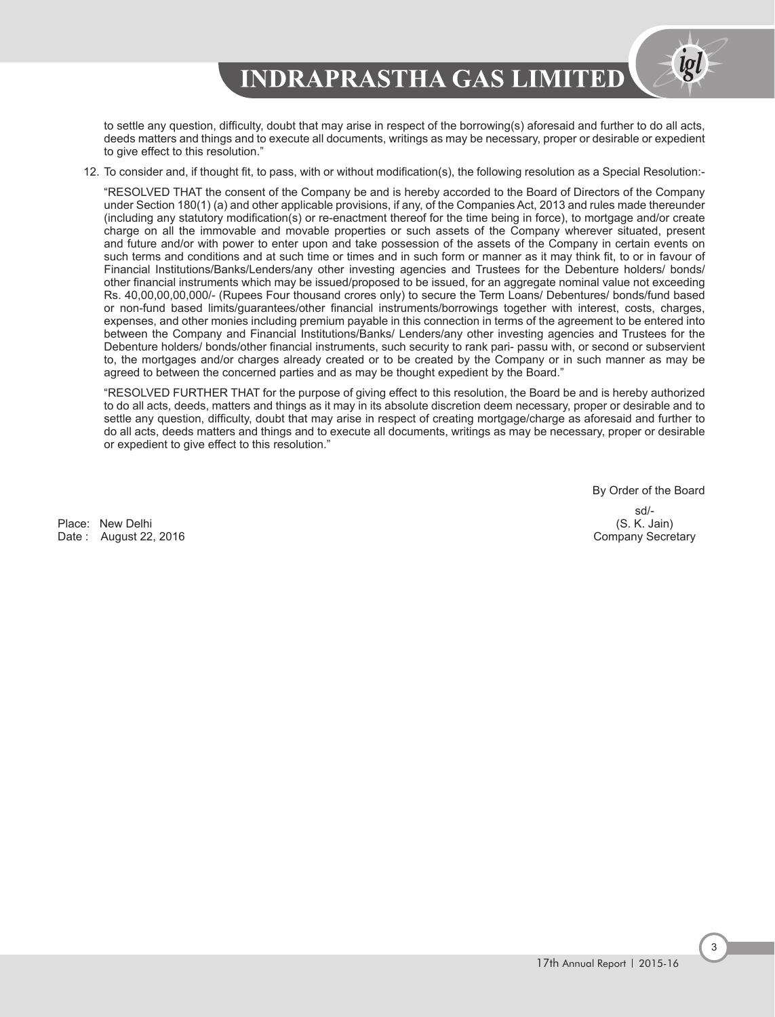to settle any question, difficulty, doubt that may arise in respect of the borrowing(s) aforesaid and further to do all acts, deeds matters and things and to execute all documents, writings as may be necessary, proper or desirable or expedient to give effect to this resolution."

12. To consider and, if thought fit, to pass, with or without modification(s), the following resolution as a Special Resolution:-

"RESOLVED THAT the consent of the Company be and is hereby accorded to the Board of Directors of the Company under Section 180(1) (a) and other applicable provisions, if any, of the Companies Act, 2013 and rules made thereunder (including any statutory modification(s) or re-enactment thereof for the time being in force), to mortgage and/or create charge on all the immovable and movable properties or such assets of the Company wherever situated, present and future and/or with power to enter upon and take possession of the assets of the Company in certain events on such terms and conditions and at such time or times and in such form or manner as it may think fit, to or in favour of Financial Institutions/Banks/Lenders/any other investing agencies and Trustees for the Debenture holders/ bonds/ other financial instruments which may be issued/proposed to be issued, for an aggregate nominal value not exceeding Rs. 40,00,00,00,000/- (Rupees Four thousand crores only) to secure the Term Loans/ Debentures/ bonds/fund based or non-fund based limits/guarantees/other financial instruments/borrowings together with interest, costs, charges, expenses, and other monies including premium payable in this connection in terms of the agreement to be entered into between the Company and Financial Institutions/Banks/ Lenders/any other investing agencies and Trustees for the Debenture holders/ bonds/other financial instruments, such security to rank pari- passu with, or second or subservient to, the mortgages and/or charges already created or to be created by the Company or in such manner as may be agreed to between the concerned parties and as may be thought expedient by the Board."

"RESOLVED FURTHER THAT for the purpose of giving effect to this resolution, the Board be and is hereby authorized to do all acts, deeds, matters and things as it may in its absolute discretion deem necessary, proper or desirable and to settle any question, difficulty, doubt that may arise in respect of creating mortgage/charge as aforesaid and further to do all acts, deeds matters and things and to execute all documents, writings as may be necessary, proper or desirable or expedient to give effect to this resolution."

By Order of the Board

Place: New Delhi (S. K. Jain) (S. K. Jain) (S. K. Jain) (S. K. Jain) (S. K. Jain) (S. K. Jain) (S. K. Jain) (S. K. Jain) (S. K. Jain) (S. K. Jain) (S. K. Jain) (S. K. Jain) (S. K. Jain) (S. K. Jain) (S. K. Jain) (S. Tain) Date : August 22, 2016

sd/-<br>(S. K. Jain)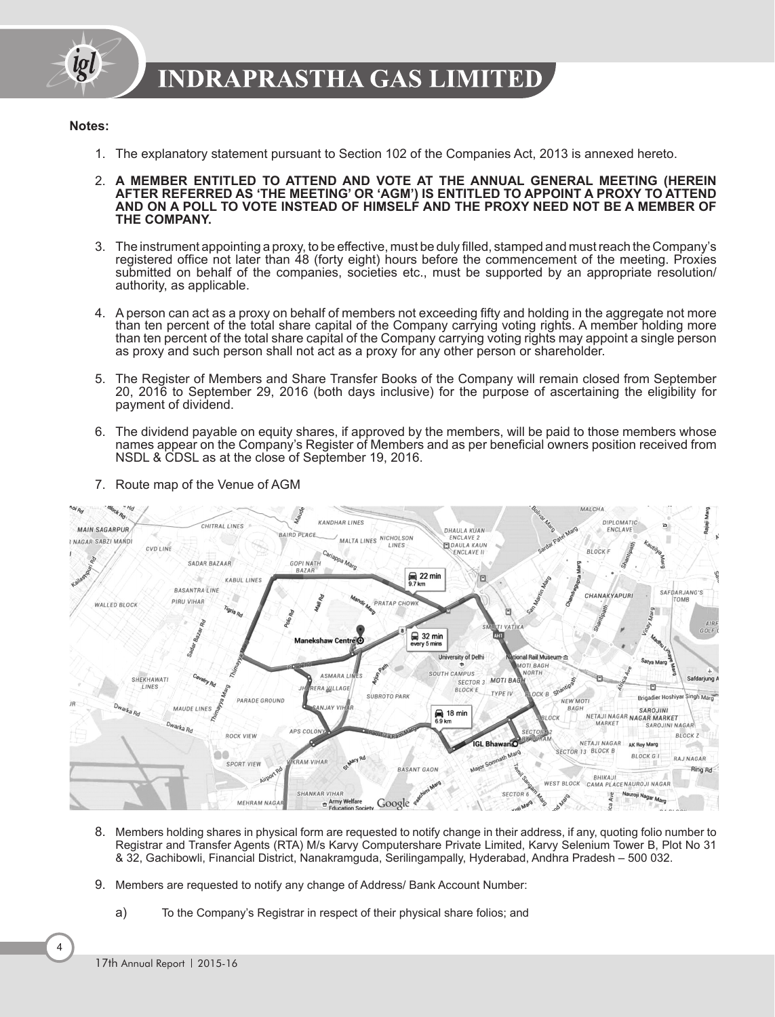

### **Notes:**

- 1. The explanatory statement pursuant to Section 102 of the Companies Act, 2013 is annexed hereto.
- 2. **A MEMBER ENTITLED TO ATTEND AND VOTE AT THE ANNUAL GENERAL MEETING (HEREIN AFTER REFERRED AS 'THE MEETING' OR 'AGM') IS ENTITLED TO APPOINT A PROXY TO ATTEND AND ON A POLL TO VOTE INSTEAD OF HIMSELF AND THE PROXY NEED NOT BE A MEMBER OF THE COMPANY.**
- 3. The instrument appointing a proxy, to be effective, must be duly filled, stamped and must reach the Company's registered office not later than 48 (forty eight) hours before the commencement of the meeting. Proxies submitted on behalf of the companies, societies etc., must be supported by an appropriate resolution/ authority, as applicable.
- 4. A person can act as a proxy on behalf of members not exceeding fifty and holding in the aggregate not more than ten percent of the total share capital of the Company carrying voting rights. A member holding more than ten percent of the total share capital of the Company carrying voting rights may appoint a single person as proxy and such person shall not act as a proxy for any other person or shareholder.
- 5. The Register of Members and Share Transfer Books of the Company will remain closed from September 20, 2016 to September 29, 2016 (both days inclusive) for the purpose of ascertaining the eligibility for payment of dividend.
- 6. The dividend payable on equity shares, if approved by the members, will be paid to those members whose names appear on the Company's Register of Members and as per beneficial owners position received from NSDL & CDSL as at the close of September 19, 2016.



7. Route map of the Venue of AGM

- 8. Members holding shares in physical form are requested to notify change in their address, if any, quoting folio number to Registrar and Transfer Agents (RTA) M/s Karvy Computershare Private Limited, Karvy Selenium Tower B, Plot No 31 & 32, Gachibowli, Financial District, Nanakramguda, Serilingampally, Hyderabad, Andhra Pradesh – 500 032.
- 9. Members are requested to notify any change of Address/ Bank Account Number:
	- a) To the Company's Registrar in respect of their physical share folios; and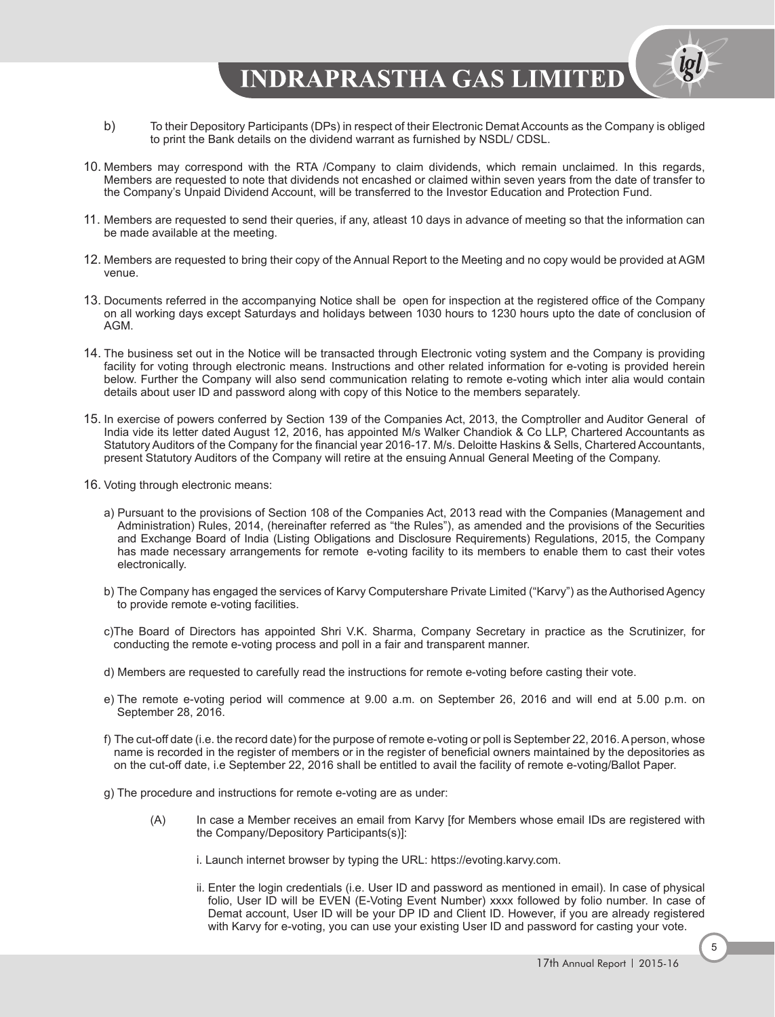- b) To their Depository Participants (DPs) in respect of their Electronic Demat Accounts as the Company is obliged to print the Bank details on the dividend warrant as furnished by NSDL/ CDSL.
- 10. Members may correspond with the RTA /Company to claim dividends, which remain unclaimed. In this regards, Members are requested to note that dividends not encashed or claimed within seven years from the date of transfer to the Company's Unpaid Dividend Account, will be transferred to the Investor Education and Protection Fund.
- 11. Members are requested to send their queries, if any, atleast 10 days in advance of meeting so that the information can be made available at the meeting.
- 12. Members are requested to bring their copy of the Annual Report to the Meeting and no copy would be provided at AGM venue.
- 13. Documents referred in the accompanying Notice shall be open for inspection at the registered office of the Company on all working days except Saturdays and holidays between 1030 hours to 1230 hours upto the date of conclusion of AGM.
- 14. The business set out in the Notice will be transacted through Electronic voting system and the Company is providing facility for voting through electronic means. Instructions and other related information for e-voting is provided herein below. Further the Company will also send communication relating to remote e-voting which inter alia would contain details about user ID and password along with copy of this Notice to the members separately.
- 15. In exercise of powers conferred by Section 139 of the Companies Act, 2013, the Comptroller and Auditor General of India vide its letter dated August 12, 2016, has appointed M/s Walker Chandiok & Co LLP, Chartered Accountants as Statutory Auditors of the Company for the financial year 2016-17. M/s. Deloitte Haskins & Sells, Chartered Accountants, present Statutory Auditors of the Company will retire at the ensuing Annual General Meeting of the Company.
- 16. Voting through electronic means:
	- a) Pursuant to the provisions of Section 108 of the Companies Act, 2013 read with the Companies (Management and Administration) Rules, 2014, (hereinafter referred as "the Rules"), as amended and the provisions of the Securities and Exchange Board of India (Listing Obligations and Disclosure Requirements) Regulations, 2015, the Company has made necessary arrangements for remote e-voting facility to its members to enable them to cast their votes electronically.
	- b) The Company has engaged the services of Karvy Computershare Private Limited ("Karvy") as the Authorised Agency to provide remote e-voting facilities.
	- c)The Board of Directors has appointed Shri V.K. Sharma, Company Secretary in practice as the Scrutinizer, for conducting the remote e-voting process and poll in a fair and transparent manner.
	- d) Members are requested to carefully read the instructions for remote e-voting before casting their vote.
	- e) The remote e-voting period will commence at 9.00 a.m. on September 26, 2016 and will end at 5.00 p.m. on September 28, 2016.
	- f) The cut-off date (i.e. the record date) for the purpose of remote e-voting or poll is September 22, 2016. A person, whose name is recorded in the register of members or in the register of beneficial owners maintained by the depositories as on the cut-off date, i.e September 22, 2016 shall be entitled to avail the facility of remote e-voting/Ballot Paper.
	- g) The procedure and instructions for remote e-voting are as under:
		- (A) In case a Member receives an email from Karvy [for Members whose email IDs are registered with the Company/Depository Participants(s)]:
			- i. Launch internet browser by typing the URL: https://evoting.karvy.com.
			- ii. Enter the login credentials (i.e. User ID and password as mentioned in email). In case of physical folio, User ID will be EVEN (E-Voting Event Number) xxxx followed by folio number. In case of Demat account, User ID will be your DP ID and Client ID. However, if you are already registered with Karvy for e-voting, you can use your existing User ID and password for casting your vote.

løl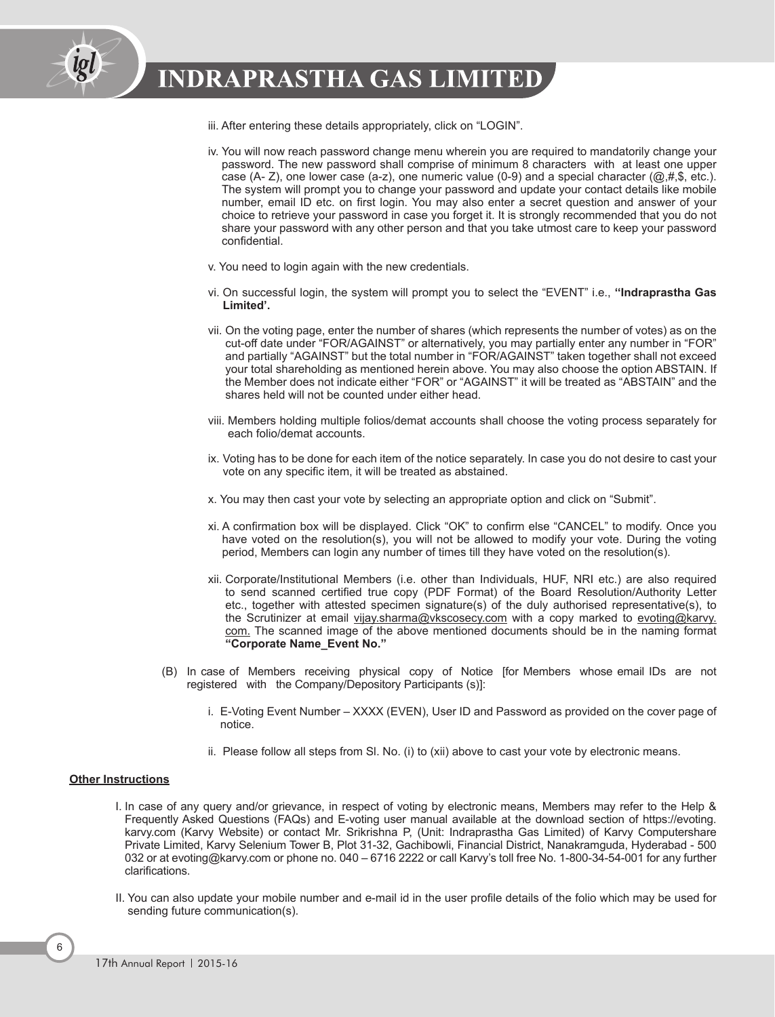

- iii. After entering these details appropriately, click on "LOGIN".
- iv. You will now reach password change menu wherein you are required to mandatorily change your password. The new password shall comprise of minimum 8 characters with at least one upper case (A- Z), one lower case (a-z), one numeric value (0-9) and a special character  $(\textcircled{a},\textcircled{t},\textcircled{s},\textcircled{t})$ . The system will prompt you to change your password and update your contact details like mobile number, email ID etc. on first login. You may also enter a secret question and answer of your choice to retrieve your password in case you forget it. It is strongly recommended that you do not share your password with any other person and that you take utmost care to keep your password confidential.
- v. You need to login again with the new credentials.
- vi. On successful login, the system will prompt you to select the "EVENT" i.e., **''Indraprastha Gas Limited'.**
- vii. On the voting page, enter the number of shares (which represents the number of votes) as on the cut-off date under "FOR/AGAINST" or alternatively, you may partially enter any number in "FOR" and partially "AGAINST" but the total number in "FOR/AGAINST" taken together shall not exceed your total shareholding as mentioned herein above. You may also choose the option ABSTAIN. If the Member does not indicate either "FOR" or "AGAINST" it will be treated as "ABSTAIN" and the shares held will not be counted under either head.
- viii. Members holding multiple folios/demat accounts shall choose the voting process separately for each folio/demat accounts.
- ix. Voting has to be done for each item of the notice separately. In case you do not desire to cast your vote on any specific item, it will be treated as abstained.
- x. You may then cast your vote by selecting an appropriate option and click on "Submit".
- xi. A confirmation box will be displayed. Click "OK" to confirm else "CANCEL" to modify. Once you have voted on the resolution(s), you will not be allowed to modify your vote. During the voting period, Members can login any number of times till they have voted on the resolution(s).
- xii. Corporate/Institutional Members (i.e. other than Individuals, HUF, NRI etc.) are also required to send scanned certified true copy (PDF Format) of the Board Resolution/Authority Letter etc., together with attested specimen signature(s) of the duly authorised representative(s), to the Scrutinizer at email vijay.sharma@vkscosecy.com with a copy marked to evoting@karvy. com. The scanned image of the above mentioned documents should be in the naming format **"Corporate Name\_Event No."**
- (B) In case of Members receiving physical copy of Notice [for Members whose email IDs are not registered with the Company/Depository Participants (s)]:
	- i. E-Voting Event Number XXXX (EVEN), User ID and Password as provided on the cover page of notice.
	- ii. Please follow all steps from Sl. No. (i) to (xii) above to cast your vote by electronic means.

#### **Other Instructions**

- I. In case of any query and/or grievance, in respect of voting by electronic means, Members may refer to the Help & Frequently Asked Questions (FAQs) and E-voting user manual available at the download section of https://evoting. karvy.com (Karvy Website) or contact Mr. Srikrishna P, (Unit: Indraprastha Gas Limited) of Karvy Computershare Private Limited, Karvy Selenium Tower B, Plot 31-32, Gachibowli, Financial District, Nanakramguda, Hyderabad - 500 032 or at evoting@karvy.com or phone no. 040 – 6716 2222 or call Karvy's toll free No. 1-800-34-54-001 for any further clarifications.
- II. You can also update your mobile number and e-mail id in the user profile details of the folio which may be used for sending future communication(s).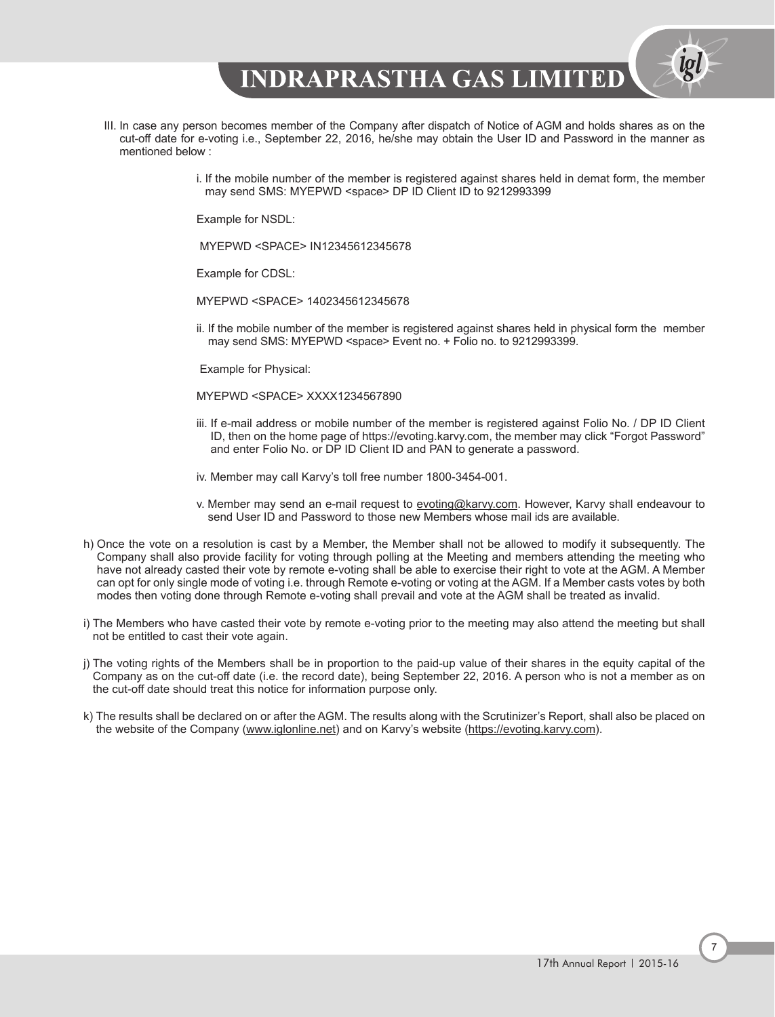- III. In case any person becomes member of the Company after dispatch of Notice of AGM and holds shares as on the cut-off date for e-voting i.e., September 22, 2016, he/she may obtain the User ID and Password in the manner as mentioned below :
	- i. If the mobile number of the member is registered against shares held in demat form, the member may send SMS: MYEPWD <space> DP ID Client ID to 9212993399

Example for NSDL:

MYEPWD <SPACE> IN12345612345678

Example for CDSL:

MYEPWD <SPACE> 1402345612345678

ii. If the mobile number of the member is registered against shares held in physical form the member may send SMS: MYEPWD <space> Event no. + Folio no. to 9212993399.

Example for Physical:

MYEPWD <SPACE> XXXX1234567890

iii. If e-mail address or mobile number of the member is registered against Folio No. / DP ID Client ID, then on the home page of https://evoting.karvy.com, the member may click "Forgot Password" and enter Folio No. or DP ID Client ID and PAN to generate a password.

iv. Member may call Karvy's toll free number 1800-3454-001.

- v. Member may send an e-mail request to evoting@karvy.com. However, Karvy shall endeavour to send User ID and Password to those new Members whose mail ids are available.
- h) Once the vote on a resolution is cast by a Member, the Member shall not be allowed to modify it subsequently. The Company shall also provide facility for voting through polling at the Meeting and members attending the meeting who have not already casted their vote by remote e-voting shall be able to exercise their right to vote at the AGM. A Member can opt for only single mode of voting i.e. through Remote e-voting or voting at the AGM. If a Member casts votes by both modes then voting done through Remote e-voting shall prevail and vote at the AGM shall be treated as invalid.
- i) The Members who have casted their vote by remote e-voting prior to the meeting may also attend the meeting but shall not be entitled to cast their vote again.
- j) The voting rights of the Members shall be in proportion to the paid-up value of their shares in the equity capital of the Company as on the cut-off date (i.e. the record date), being September 22, 2016. A person who is not a member as on the cut-off date should treat this notice for information purpose only.
- k) The results shall be declared on or after the AGM. The results along with the Scrutinizer's Report, shall also be placed on the website of the Company (www.iglonline.net) and on Karvy's website (https://evoting.karvy.com).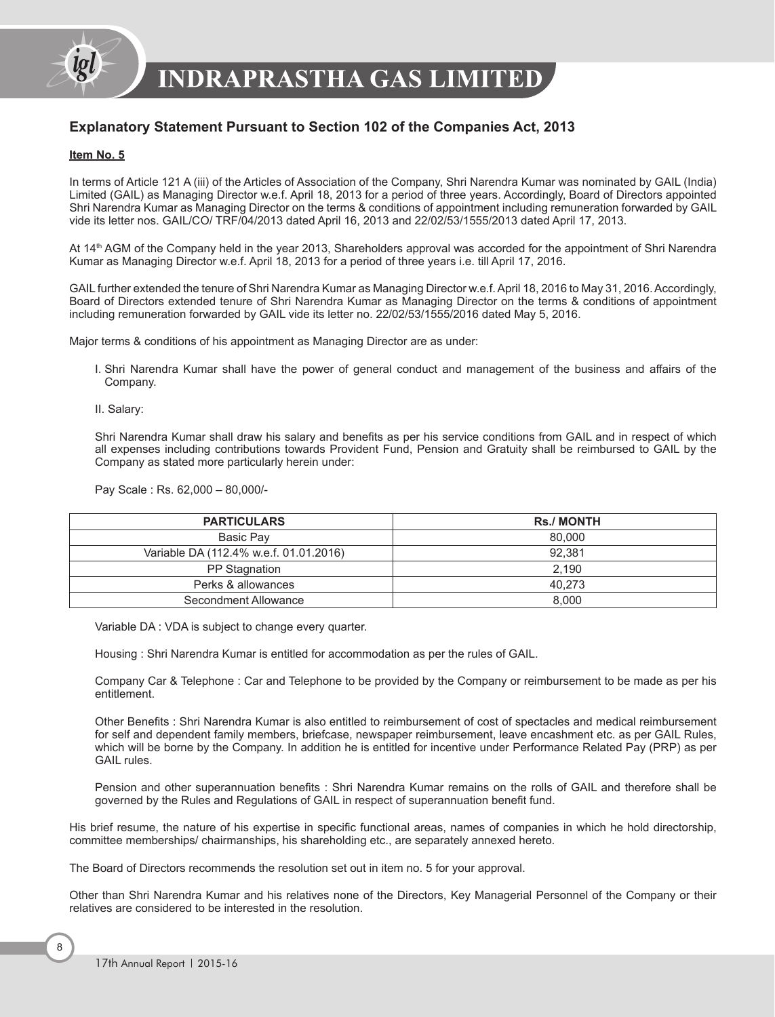

# **Explanatory Statement Pursuant to Section 102 of the Companies Act, 2013**

#### **Item No. 5**

In terms of Article 121 A (iii) of the Articles of Association of the Company, Shri Narendra Kumar was nominated by GAIL (India) Limited (GAIL) as Managing Director w.e.f. April 18, 2013 for a period of three years. Accordingly, Board of Directors appointed Shri Narendra Kumar as Managing Director on the terms & conditions of appointment including remuneration forwarded by GAIL vide its letter nos. GAIL/CO/ TRF/04/2013 dated April 16, 2013 and 22/02/53/1555/2013 dated April 17, 2013.

At 14<sup>th</sup> AGM of the Company held in the year 2013, Shareholders approval was accorded for the appointment of Shri Narendra Kumar as Managing Director w.e.f. April 18, 2013 for a period of three years i.e. till April 17, 2016.

GAIL further extended the tenure of Shri Narendra Kumar as Managing Director w.e.f. April 18, 2016 to May 31, 2016. Accordingly, Board of Directors extended tenure of Shri Narendra Kumar as Managing Director on the terms & conditions of appointment including remuneration forwarded by GAIL vide its letter no. 22/02/53/1555/2016 dated May 5, 2016.

Major terms & conditions of his appointment as Managing Director are as under:

- I. Shri Narendra Kumar shall have the power of general conduct and management of the business and affairs of the Company.
- II. Salary:

Shri Narendra Kumar shall draw his salary and benefits as per his service conditions from GAIL and in respect of which all expenses including contributions towards Provident Fund, Pension and Gratuity shall be reimbursed to GAIL by the Company as stated more particularly herein under:

Pay Scale : Rs. 62,000 – 80,000/-

| <b>PARTICULARS</b>                     | <b>Rs./MONTH</b> |
|----------------------------------------|------------------|
| Basic Pay                              | 80,000           |
| Variable DA (112.4% w.e.f. 01.01.2016) | 92.381           |
| <b>PP Stagnation</b>                   | 2.190            |
| Perks & allowances                     | 40.273           |
| Secondment Allowance                   | 8.000            |

Variable DA : VDA is subject to change every quarter.

Housing : Shri Narendra Kumar is entitled for accommodation as per the rules of GAIL.

Company Car & Telephone : Car and Telephone to be provided by the Company or reimbursement to be made as per his entitlement.

Other Benefits : Shri Narendra Kumar is also entitled to reimbursement of cost of spectacles and medical reimbursement for self and dependent family members, briefcase, newspaper reimbursement, leave encashment etc. as per GAIL Rules, which will be borne by the Company. In addition he is entitled for incentive under Performance Related Pay (PRP) as per GAIL rules.

Pension and other superannuation benefits : Shri Narendra Kumar remains on the rolls of GAIL and therefore shall be governed by the Rules and Regulations of GAIL in respect of superannuation benefit fund.

His brief resume, the nature of his expertise in specific functional areas, names of companies in which he hold directorship, committee memberships/ chairmanships, his shareholding etc., are separately annexed hereto.

The Board of Directors recommends the resolution set out in item no. 5 for your approval.

Other than Shri Narendra Kumar and his relatives none of the Directors, Key Managerial Personnel of the Company or their relatives are considered to be interested in the resolution.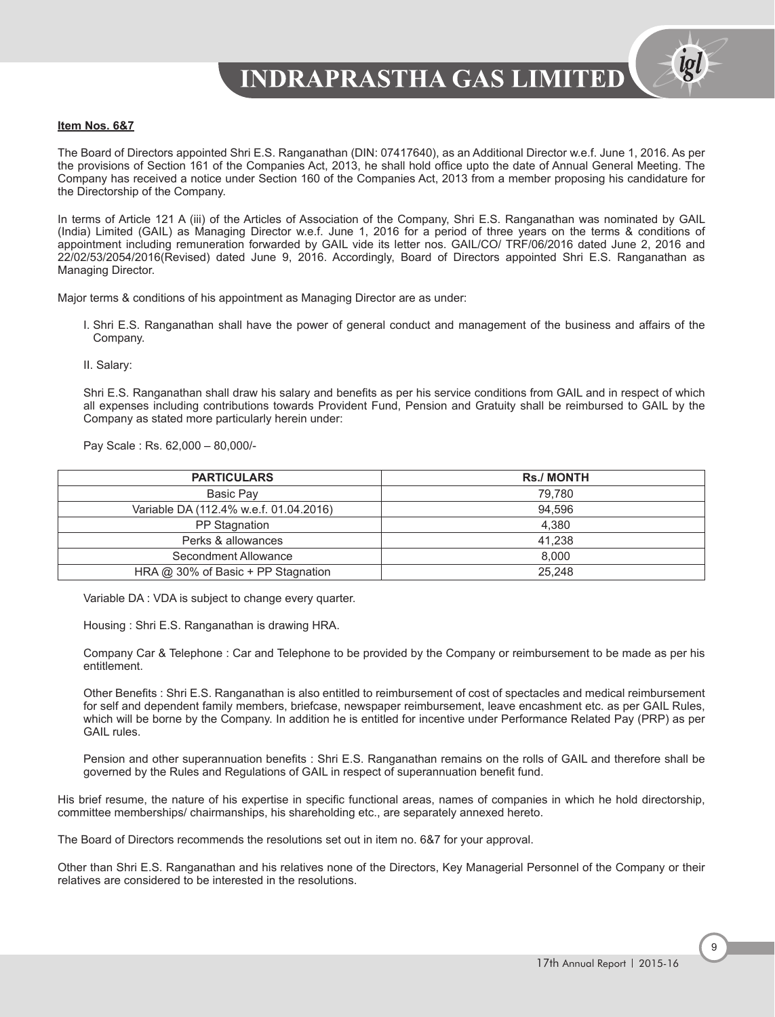

The Board of Directors appointed Shri E.S. Ranganathan (DIN: 07417640), as an Additional Director w.e.f. June 1, 2016. As per the provisions of Section 161 of the Companies Act, 2013, he shall hold office upto the date of Annual General Meeting. The Company has received a notice under Section 160 of the Companies Act, 2013 from a member proposing his candidature for the Directorship of the Company.

In terms of Article 121 A (iii) of the Articles of Association of the Company, Shri E.S. Ranganathan was nominated by GAIL (India) Limited (GAIL) as Managing Director w.e.f. June 1, 2016 for a period of three years on the terms & conditions of appointment including remuneration forwarded by GAIL vide its letter nos. GAIL/CO/ TRF/06/2016 dated June 2, 2016 and 22/02/53/2054/2016(Revised) dated June 9, 2016. Accordingly, Board of Directors appointed Shri E.S. Ranganathan as Managing Director.

Major terms & conditions of his appointment as Managing Director are as under:

I. Shri E.S. Ranganathan shall have the power of general conduct and management of the business and affairs of the Company.

II. Salary:

Shri E.S. Ranganathan shall draw his salary and benefits as per his service conditions from GAIL and in respect of which all expenses including contributions towards Provident Fund, Pension and Gratuity shall be reimbursed to GAIL by the Company as stated more particularly herein under:

Pay Scale : Rs. 62,000 – 80,000/-

| <b>PARTICULARS</b>                     | <b>Rs./MONTH</b> |
|----------------------------------------|------------------|
| Basic Pay                              | 79.780           |
| Variable DA (112.4% w.e.f. 01.04.2016) | 94.596           |
| PP Stagnation                          | 4,380            |
| Perks & allowances                     | 41,238           |
| Secondment Allowance                   | 8.000            |
| HRA @ 30% of Basic + PP Stagnation     | 25.248           |

Variable DA : VDA is subject to change every quarter.

Housing : Shri E.S. Ranganathan is drawing HRA.

Company Car & Telephone : Car and Telephone to be provided by the Company or reimbursement to be made as per his entitlement.

Other Benefits : Shri E.S. Ranganathan is also entitled to reimbursement of cost of spectacles and medical reimbursement for self and dependent family members, briefcase, newspaper reimbursement, leave encashment etc. as per GAIL Rules, which will be borne by the Company. In addition he is entitled for incentive under Performance Related Pay (PRP) as per GAIL rules.

Pension and other superannuation benefits : Shri E.S. Ranganathan remains on the rolls of GAIL and therefore shall be governed by the Rules and Regulations of GAIL in respect of superannuation benefit fund.

His brief resume, the nature of his expertise in specific functional areas, names of companies in which he hold directorship, committee memberships/ chairmanships, his shareholding etc., are separately annexed hereto.

The Board of Directors recommends the resolutions set out in item no. 6&7 for your approval.

Other than Shri E.S. Ranganathan and his relatives none of the Directors, Key Managerial Personnel of the Company or their relatives are considered to be interested in the resolutions.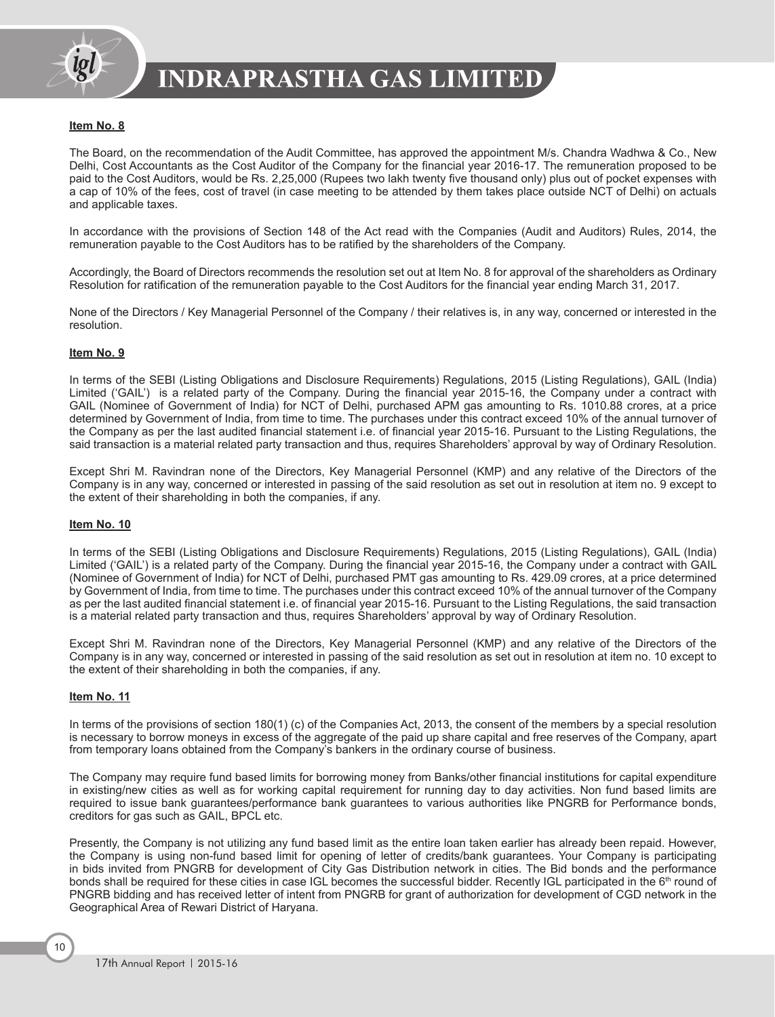

### **Item No. 8**

The Board, on the recommendation of the Audit Committee, has approved the appointment M/s. Chandra Wadhwa & Co., New Delhi, Cost Accountants as the Cost Auditor of the Company for the financial year 2016-17. The remuneration proposed to be paid to the Cost Auditors, would be Rs. 2,25,000 (Rupees two lakh twenty five thousand only) plus out of pocket expenses with a cap of 10% of the fees, cost of travel (in case meeting to be attended by them takes place outside NCT of Delhi) on actuals and applicable taxes.

In accordance with the provisions of Section 148 of the Act read with the Companies (Audit and Auditors) Rules, 2014, the remuneration payable to the Cost Auditors has to be ratified by the shareholders of the Company.

Accordingly, the Board of Directors recommends the resolution set out at Item No. 8 for approval of the shareholders as Ordinary Resolution for ratification of the remuneration payable to the Cost Auditors for the financial year ending March 31, 2017.

None of the Directors / Key Managerial Personnel of the Company / their relatives is, in any way, concerned or interested in the resolution.

#### **Item No. 9**

In terms of the SEBI (Listing Obligations and Disclosure Requirements) Regulations, 2015 (Listing Regulations), GAIL (India) Limited ('GAIL') is a related party of the Company. During the financial year 2015-16, the Company under a contract with GAIL (Nominee of Government of India) for NCT of Delhi, purchased APM gas amounting to Rs. 1010.88 crores, at a price determined by Government of India, from time to time. The purchases under this contract exceed 10% of the annual turnover of the Company as per the last audited financial statement i.e. of financial year 2015-16. Pursuant to the Listing Regulations, the said transaction is a material related party transaction and thus, requires Shareholders' approval by way of Ordinary Resolution.

Except Shri M. Ravindran none of the Directors, Key Managerial Personnel (KMP) and any relative of the Directors of the Company is in any way, concerned or interested in passing of the said resolution as set out in resolution at item no. 9 except to the extent of their shareholding in both the companies, if any.

#### **Item No. 10**

In terms of the SEBI (Listing Obligations and Disclosure Requirements) Regulations, 2015 (Listing Regulations), GAIL (India) Limited ('GAIL') is a related party of the Company. During the financial year 2015-16, the Company under a contract with GAIL (Nominee of Government of India) for NCT of Delhi, purchased PMT gas amounting to Rs. 429.09 crores, at a price determined by Government of India, from time to time. The purchases under this contract exceed 10% of the annual turnover of the Company as per the last audited financial statement i.e. of financial year 2015-16. Pursuant to the Listing Regulations, the said transaction is a material related party transaction and thus, requires Shareholders' approval by way of Ordinary Resolution.

Except Shri M. Ravindran none of the Directors, Key Managerial Personnel (KMP) and any relative of the Directors of the Company is in any way, concerned or interested in passing of the said resolution as set out in resolution at item no. 10 except to the extent of their shareholding in both the companies, if any.

#### **Item No. 11**

In terms of the provisions of section 180(1) (c) of the Companies Act, 2013, the consent of the members by a special resolution is necessary to borrow moneys in excess of the aggregate of the paid up share capital and free reserves of the Company, apart from temporary loans obtained from the Company's bankers in the ordinary course of business.

The Company may require fund based limits for borrowing money from Banks/other financial institutions for capital expenditure in existing/new cities as well as for working capital requirement for running day to day activities. Non fund based limits are required to issue bank guarantees/performance bank guarantees to various authorities like PNGRB for Performance bonds, creditors for gas such as GAIL, BPCL etc.

Presently, the Company is not utilizing any fund based limit as the entire loan taken earlier has already been repaid. However, the Company is using non-fund based limit for opening of letter of credits/bank guarantees. Your Company is participating in bids invited from PNGRB for development of City Gas Distribution network in cities. The Bid bonds and the performance bonds shall be required for these cities in case IGL becomes the successful bidder. Recently IGL participated in the 6<sup>th</sup> round of PNGRB bidding and has received letter of intent from PNGRB for grant of authorization for development of CGD network in the Geographical Area of Rewari District of Haryana.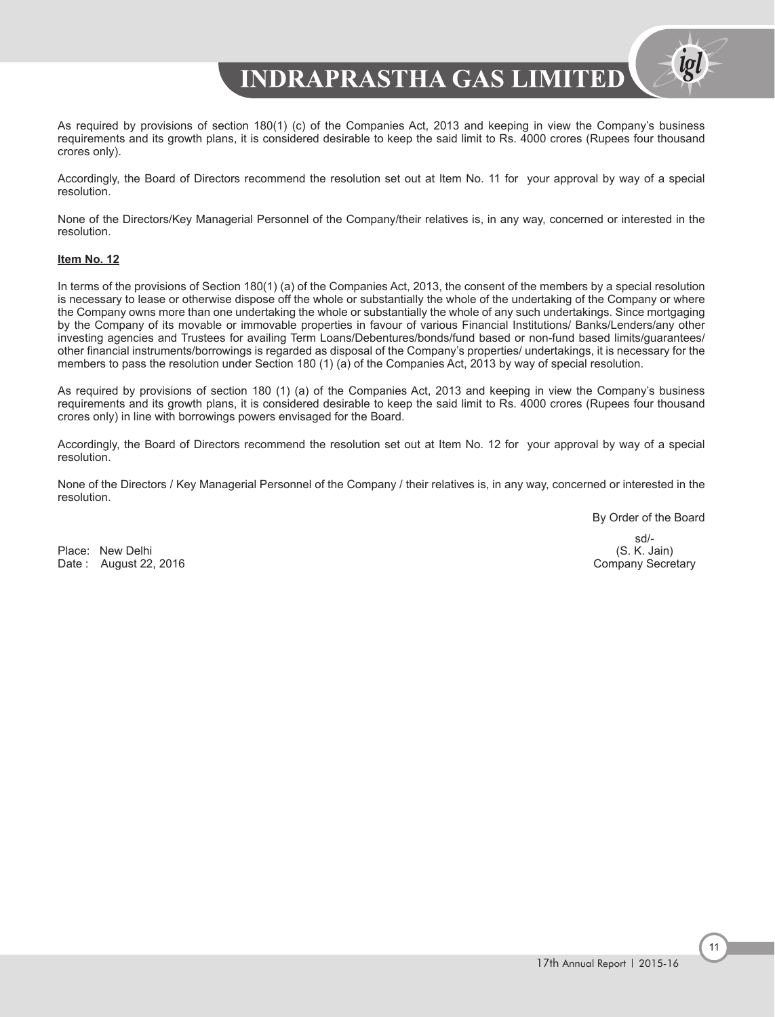As required by provisions of section 180(1) (c) of the Companies Act, 2013 and keeping in view the Company's business requirements and its growth plans, it is considered desirable to keep the said limit to Rs. 4000 crores (Rupees four thousand crores only).

Accordingly, the Board of Directors recommend the resolution set out at Item No. 11 for your approval by way of a special resolution.

None of the Directors/Key Managerial Personnel of the Company/their relatives is, in any way, concerned or interested in the resolution.

#### **Item No. 12**

In terms of the provisions of Section 180(1) (a) of the Companies Act, 2013, the consent of the members by a special resolution is necessary to lease or otherwise dispose off the whole or substantially the whole of the undertaking of the Company or where the Company owns more than one undertaking the whole or substantially the whole of any such undertakings. Since mortgaging by the Company of its movable or immovable properties in favour of various Financial Institutions/ Banks/Lenders/any other investing agencies and Trustees for availing Term Loans/Debentures/bonds/fund based or non-fund based limits/guarantees/ other financial instruments/borrowings is regarded as disposal of the Company's properties/ undertakings, it is necessary for the members to pass the resolution under Section 180 (1) (a) of the Companies Act, 2013 by way of special resolution.

As required by provisions of section 180 (1) (a) of the Companies Act, 2013 and keeping in view the Company's business requirements and its growth plans, it is considered desirable to keep the said limit to Rs. 4000 crores (Rupees four thousand crores only) in line with borrowings powers envisaged for the Board.

Accordingly, the Board of Directors recommend the resolution set out at Item No. 12 for your approval by way of a special resolution.

None of the Directors / Key Managerial Personnel of the Company / their relatives is, in any way, concerned or interested in the resolution.

By Order of the Board

Place: New Delhi (S. K. Jain) (S. K. Jain) (S. K. Jain) (S. K. Jain) (S. K. Jain) (S. K. Jain) (S. K. Jain) (S. K. Jain) (S. K. Jain) (S. K. Jain) (S. K. Jain) (S. K. Jain) (S. K. Jain) (S. K. Jain) (S. R. Jain) (S. R. Jai Date: August 22, 2016

sd/-<br>(S. K. Jain)

11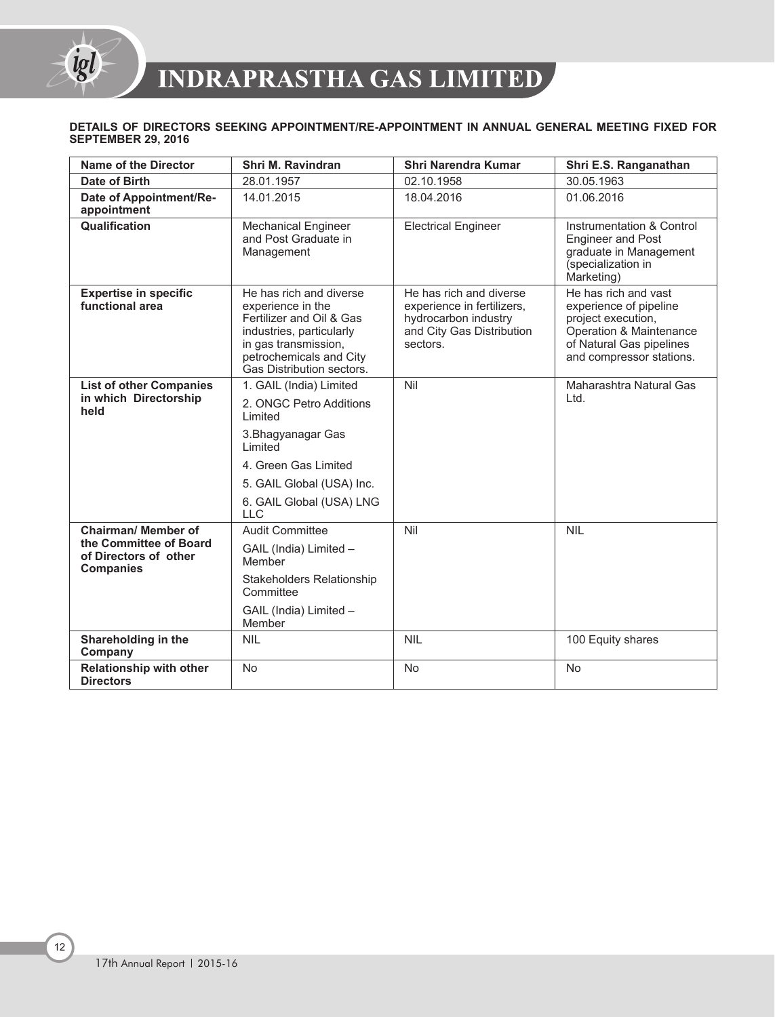

### **DETAILS OF DIRECTORS SEEKING APPOINTMENT/RE-APPOINTMENT IN ANNUAL GENERAL MEETING FIXED FOR SEPTEMBER 29, 2016**

| Name of the Director                                                                              | Shri M. Ravindran                                                                                                                                                                             | Shri Narendra Kumar                                                                                                    | Shri E.S. Ranganathan                                                                                                                                   |
|---------------------------------------------------------------------------------------------------|-----------------------------------------------------------------------------------------------------------------------------------------------------------------------------------------------|------------------------------------------------------------------------------------------------------------------------|---------------------------------------------------------------------------------------------------------------------------------------------------------|
| Date of Birth                                                                                     | 28.01.1957                                                                                                                                                                                    | 02.10.1958                                                                                                             | 30.05.1963                                                                                                                                              |
| Date of Appointment/Re-<br>appointment                                                            | 14.01.2015                                                                                                                                                                                    | 18.04.2016                                                                                                             | 01.06.2016                                                                                                                                              |
| Qualification                                                                                     | <b>Mechanical Engineer</b><br>and Post Graduate in<br>Management                                                                                                                              | <b>Electrical Engineer</b>                                                                                             | Instrumentation & Control<br><b>Engineer and Post</b><br>graduate in Management<br>(specialization in<br>Marketing)                                     |
| <b>Expertise in specific</b><br>functional area                                                   | He has rich and diverse<br>experience in the<br>Fertilizer and Oil & Gas<br>industries, particularly<br>in gas transmission,<br>petrochemicals and City<br>Gas Distribution sectors.          | He has rich and diverse<br>experience in fertilizers,<br>hydrocarbon industry<br>and City Gas Distribution<br>sectors. | He has rich and vast<br>experience of pipeline<br>project execution,<br>Operation & Maintenance<br>of Natural Gas pipelines<br>and compressor stations. |
| <b>List of other Companies</b><br>in which Directorship<br>held                                   | 1. GAIL (India) Limited<br>2. ONGC Petro Additions<br>Limited<br>3. Bhagyanagar Gas<br>Limited<br>4. Green Gas Limited<br>5. GAIL Global (USA) Inc.<br>6. GAIL Global (USA) LNG<br><b>LLC</b> | Nil                                                                                                                    | Maharashtra Natural Gas<br>Ltd.                                                                                                                         |
| <b>Chairman/ Member of</b><br>the Committee of Board<br>of Directors of other<br><b>Companies</b> | <b>Audit Committee</b><br>GAIL (India) Limited -<br>Member<br>Stakeholders Relationship<br>Committee<br>GAIL (India) Limited -<br>Member                                                      | Nil                                                                                                                    | <b>NIL</b>                                                                                                                                              |
| Shareholding in the<br>Company                                                                    | <b>NIL</b>                                                                                                                                                                                    | <b>NIL</b>                                                                                                             | 100 Equity shares                                                                                                                                       |
| Relationship with other<br><b>Directors</b>                                                       | No                                                                                                                                                                                            | No                                                                                                                     | <b>No</b>                                                                                                                                               |

12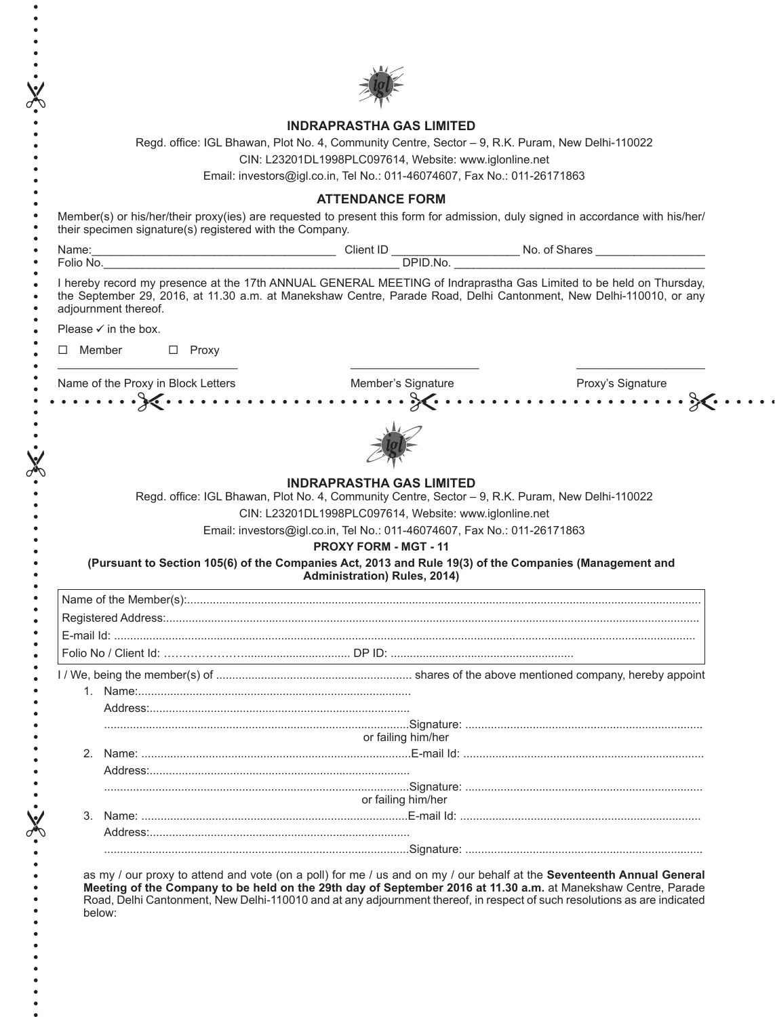|                                                                                                                                                                                                                                                                  | <b>INDRAPRASTHA GAS LIMITED</b>                                                                                                                                                                                                        |  |
|------------------------------------------------------------------------------------------------------------------------------------------------------------------------------------------------------------------------------------------------------------------|----------------------------------------------------------------------------------------------------------------------------------------------------------------------------------------------------------------------------------------|--|
|                                                                                                                                                                                                                                                                  | Regd. office: IGL Bhawan, Plot No. 4, Community Centre, Sector - 9, R.K. Puram, New Delhi-110022                                                                                                                                       |  |
|                                                                                                                                                                                                                                                                  | CIN: L23201DL1998PLC097614, Website: www.iglonline.net                                                                                                                                                                                 |  |
|                                                                                                                                                                                                                                                                  | Email: investors@igl.co.in, Tel No.: 011-46074607, Fax No.: 011-26171863                                                                                                                                                               |  |
|                                                                                                                                                                                                                                                                  | <b>ATTENDANCE FORM</b>                                                                                                                                                                                                                 |  |
| Member(s) or his/her/their proxy(ies) are requested to present this form for admission, duly signed in accordance with his/her/<br>their specimen signature(s) registered with the Company.                                                                      |                                                                                                                                                                                                                                        |  |
| Name: Client ID<br>Folio No. No. of Shares No. of Shares No. of Shares No. of Shares No. of Shares No. 1                                                                                                                                                         |                                                                                                                                                                                                                                        |  |
|                                                                                                                                                                                                                                                                  |                                                                                                                                                                                                                                        |  |
| I hereby record my presence at the 17th ANNUAL GENERAL MEETING of Indraprastha Gas Limited to be held on Thursday,<br>the September 29, 2016, at 11.30 a.m. at Manekshaw Centre, Parade Road, Delhi Cantonment, New Delhi-110010, or any<br>adjournment thereof. |                                                                                                                                                                                                                                        |  |
| Please $\checkmark$ in the box.                                                                                                                                                                                                                                  |                                                                                                                                                                                                                                        |  |
| $\Box$ Member $\Box$ Proxy                                                                                                                                                                                                                                       |                                                                                                                                                                                                                                        |  |
|                                                                                                                                                                                                                                                                  |                                                                                                                                                                                                                                        |  |
|                                                                                                                                                                                                                                                                  |                                                                                                                                                                                                                                        |  |
|                                                                                                                                                                                                                                                                  |                                                                                                                                                                                                                                        |  |
|                                                                                                                                                                                                                                                                  | <b>INDRAPRASTHA GAS LIMITED</b>                                                                                                                                                                                                        |  |
|                                                                                                                                                                                                                                                                  | Regd. office: IGL Bhawan, Plot No. 4, Community Centre, Sector - 9, R.K. Puram, New Delhi-110022<br>CIN: L23201DL1998PLC097614, Website: www.iglonline.net<br>Email: investors@igl.co.in, Tel No.: 011-46074607, Fax No.: 011-26171863 |  |
|                                                                                                                                                                                                                                                                  | <b>PROXY FORM - MGT - 11</b>                                                                                                                                                                                                           |  |
|                                                                                                                                                                                                                                                                  | (Pursuant to Section 105(6) of the Companies Act, 2013 and Rule 19(3) of the Companies (Management and<br>Administration) Rules, 2014)                                                                                                 |  |
|                                                                                                                                                                                                                                                                  |                                                                                                                                                                                                                                        |  |
|                                                                                                                                                                                                                                                                  |                                                                                                                                                                                                                                        |  |
|                                                                                                                                                                                                                                                                  |                                                                                                                                                                                                                                        |  |
|                                                                                                                                                                                                                                                                  |                                                                                                                                                                                                                                        |  |
|                                                                                                                                                                                                                                                                  |                                                                                                                                                                                                                                        |  |
|                                                                                                                                                                                                                                                                  |                                                                                                                                                                                                                                        |  |
|                                                                                                                                                                                                                                                                  |                                                                                                                                                                                                                                        |  |
|                                                                                                                                                                                                                                                                  |                                                                                                                                                                                                                                        |  |
|                                                                                                                                                                                                                                                                  | or failing him/her                                                                                                                                                                                                                     |  |
| 2.                                                                                                                                                                                                                                                               |                                                                                                                                                                                                                                        |  |
|                                                                                                                                                                                                                                                                  |                                                                                                                                                                                                                                        |  |
|                                                                                                                                                                                                                                                                  |                                                                                                                                                                                                                                        |  |
| 3.                                                                                                                                                                                                                                                               | or failing him/her                                                                                                                                                                                                                     |  |
|                                                                                                                                                                                                                                                                  |                                                                                                                                                                                                                                        |  |

Road, Delhi Cantonment, New Delhi-110010 and at any adjournment thereof, in respect of such resolutions as are indicated below:

........

 $\bullet$  $\bullet$ 

 $\chi$ 

 $\bullet$  $\bullet$  $\bullet$  $\bullet$ 

 $\bullet$ 

.... 36....

 $\begin{array}{c} \bullet \\ \bullet \\ \bullet \end{array}$  $\bullet$  $\bullet$  $\bullet$  $\bullet$ 

 $\ddot{\bullet}$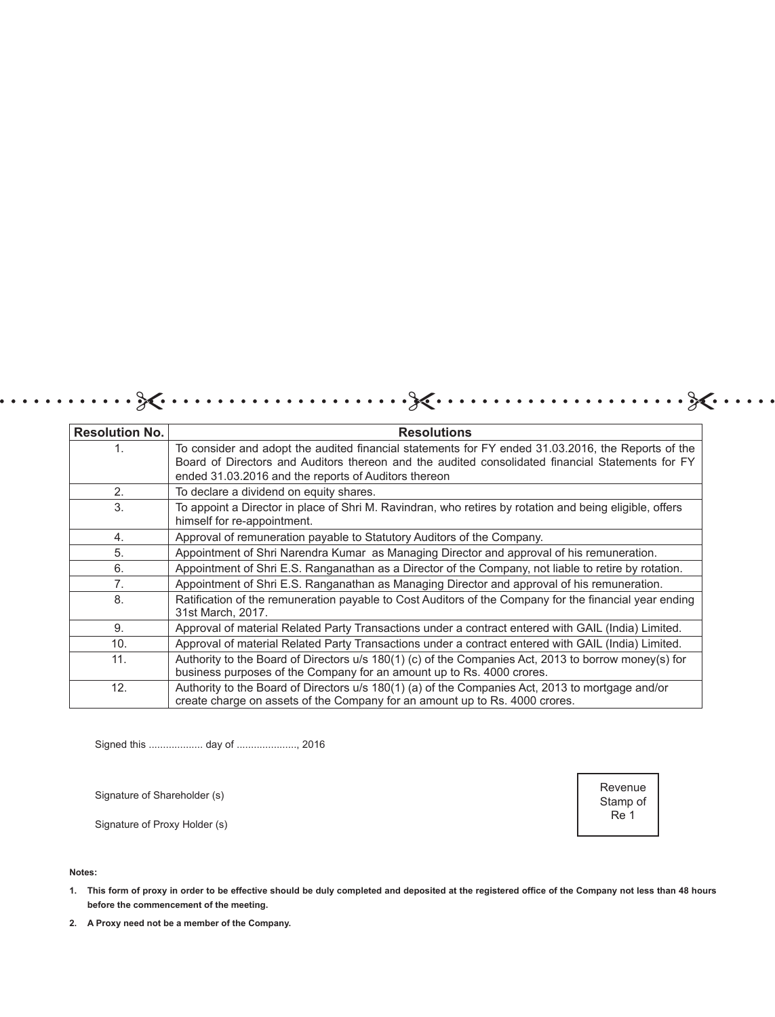| <b>Resolution No.</b> | <b>Resolutions</b>                                                                                                                                                                                                                                             |
|-----------------------|----------------------------------------------------------------------------------------------------------------------------------------------------------------------------------------------------------------------------------------------------------------|
| $\mathbf{1}$ .        | To consider and adopt the audited financial statements for FY ended 31.03.2016, the Reports of the<br>Board of Directors and Auditors thereon and the audited consolidated financial Statements for FY<br>ended 31.03.2016 and the reports of Auditors thereon |
| 2.                    | To declare a dividend on equity shares.                                                                                                                                                                                                                        |
| 3.                    | To appoint a Director in place of Shri M. Ravindran, who retires by rotation and being eligible, offers<br>himself for re-appointment.                                                                                                                         |
| 4.                    | Approval of remuneration payable to Statutory Auditors of the Company.                                                                                                                                                                                         |
| 5.                    | Appointment of Shri Narendra Kumar as Managing Director and approval of his remuneration.                                                                                                                                                                      |
| 6.                    | Appointment of Shri E.S. Ranganathan as a Director of the Company, not liable to retire by rotation.                                                                                                                                                           |
| 7.                    | Appointment of Shri E.S. Ranganathan as Managing Director and approval of his remuneration.                                                                                                                                                                    |
| 8.                    | Ratification of the remuneration payable to Cost Auditors of the Company for the financial year ending<br>31st March, 2017.                                                                                                                                    |
| 9.                    | Approval of material Related Party Transactions under a contract entered with GAIL (India) Limited.                                                                                                                                                            |
| 10.                   | Approval of material Related Party Transactions under a contract entered with GAIL (India) Limited.                                                                                                                                                            |
| 11.                   | Authority to the Board of Directors u/s 180(1) (c) of the Companies Act, 2013 to borrow money(s) for<br>business purposes of the Company for an amount up to Rs. 4000 crores.                                                                                  |
| 12.                   | Authority to the Board of Directors u/s 180(1) (a) of the Companies Act, 2013 to mortgage and/or<br>create charge on assets of the Company for an amount up to Rs. 4000 crores.                                                                                |

Signed this ................... day of ....................., 2016

Signature of Shareholder (s)

Signature of Proxy Holder (s)

Revenue Stamp of Re 1

**Notes:** 

**1. This form of proxy in order to be effective should be duly completed and deposited at the registered office of the Company not less than 48 hours before the commencement of the meeting.** 

**2. A Proxy need not be a member of the Company.**